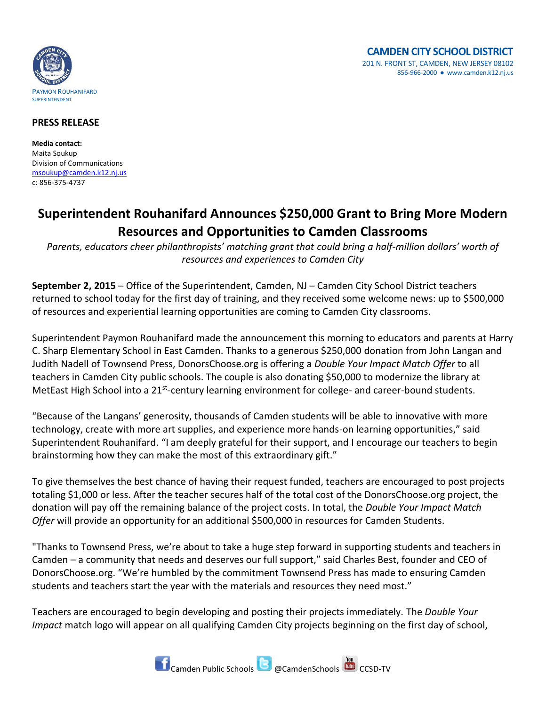

## **PRESS RELEASE**

**Media contact:** Maita Soukup Division of Communications [msoukup@camden.k12.nj.us](mailto:msoukup@camden.k12.nj.us) c: 856-375-4737

## **Superintendent Rouhanifard Announces \$250,000 Grant to Bring More Modern Resources and Opportunities to Camden Classrooms**

*Parents, educators cheer philanthropists' matching grant that could bring a half-million dollars' worth of resources and experiences to Camden City*

**September 2, 2015** – Office of the Superintendent, Camden, NJ – Camden City School District teachers returned to school today for the first day of training, and they received some welcome news: up to \$500,000 of resources and experiential learning opportunities are coming to Camden City classrooms.

Superintendent Paymon Rouhanifard made the announcement this morning to educators and parents at Harry C. Sharp Elementary School in East Camden. Thanks to a generous \$250,000 donation from John Langan and Judith Nadell of Townsend Press, DonorsChoose.org is offering a *Double Your Impact Match Offer* to all teachers in Camden City public schools. The couple is also donating \$50,000 to modernize the library at MetEast High School into a 21<sup>st</sup>-century learning environment for college- and career-bound students.

"Because of the Langans' generosity, thousands of Camden students will be able to innovative with more technology, create with more art supplies, and experience more hands-on learning opportunities," said Superintendent Rouhanifard. "I am deeply grateful for their support, and I encourage our teachers to begin brainstorming how they can make the most of this extraordinary gift."

To give themselves the best chance of having their request funded, teachers are encouraged to post projects totaling \$1,000 or less. After the teacher secures half of the total cost of the DonorsChoose.org project, the donation will pay off the remaining balance of the project costs. In total, the *Double Your Impact Match Offer* will provide an opportunity for an additional \$500,000 in resources for Camden Students.

"Thanks to Townsend Press, we're about to take a huge step forward in supporting students and teachers in Camden – a community that needs and deserves our full support," said Charles Best, founder and CEO of DonorsChoose.org. "We're humbled by the commitment Townsend Press has made to ensuring Camden students and teachers start the year with the materials and resources they need most."

Teachers are encouraged to begin developing and posting their projects immediately. The *Double Your Impact* match logo will appear on all qualifying Camden City projects beginning on the first day of school,